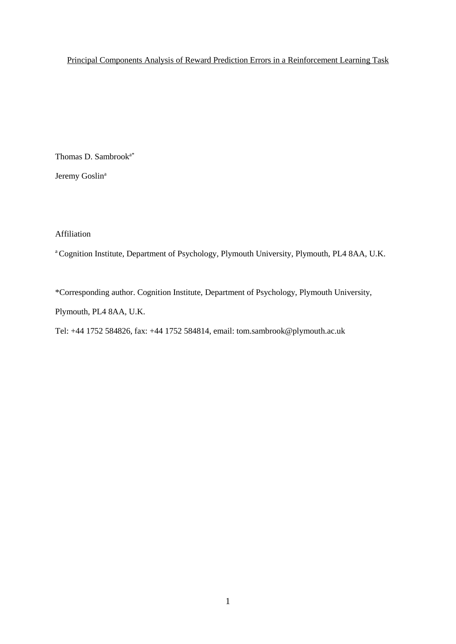# Principal Components Analysis of Reward Prediction Errors in a Reinforcement Learning Task

Thomas D. Sambrooka\*

Jeremy Goslin<sup>a</sup>

Affiliation

<sup>a</sup>Cognition Institute, Department of Psychology, Plymouth University, Plymouth, PL4 8AA, U.K.

\*Corresponding author. Cognition Institute, Department of Psychology, Plymouth University,

Plymouth, PL4 8AA, U.K.

Tel: +44 1752 584826, fax: +44 1752 584814, email: tom.sambrook@plymouth.ac.uk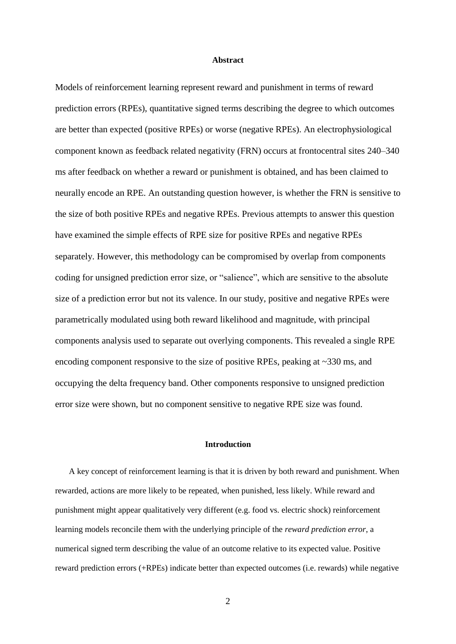#### **Abstract**

Models of reinforcement learning represent reward and punishment in terms of reward prediction errors (RPEs), quantitative signed terms describing the degree to which outcomes are better than expected (positive RPEs) or worse (negative RPEs). An electrophysiological component known as feedback related negativity (FRN) occurs at frontocentral sites 240–340 ms after feedback on whether a reward or punishment is obtained, and has been claimed to neurally encode an RPE. An outstanding question however, is whether the FRN is sensitive to the size of both positive RPEs and negative RPEs. Previous attempts to answer this question have examined the simple effects of RPE size for positive RPEs and negative RPEs separately. However, this methodology can be compromised by overlap from components coding for unsigned prediction error size, or "salience", which are sensitive to the absolute size of a prediction error but not its valence. In our study, positive and negative RPEs were parametrically modulated using both reward likelihood and magnitude, with principal components analysis used to separate out overlying components. This revealed a single RPE encoding component responsive to the size of positive RPEs, peaking at ~330 ms, and occupying the delta frequency band. Other components responsive to unsigned prediction error size were shown, but no component sensitive to negative RPE size was found.

#### **Introduction**

A key concept of reinforcement learning is that it is driven by both reward and punishment. When rewarded, actions are more likely to be repeated, when punished, less likely. While reward and punishment might appear qualitatively very different (e.g. food vs. electric shock) reinforcement learning models reconcile them with the underlying principle of the *reward prediction error*, a numerical signed term describing the value of an outcome relative to its expected value. Positive reward prediction errors (+RPEs) indicate better than expected outcomes (i.e. rewards) while negative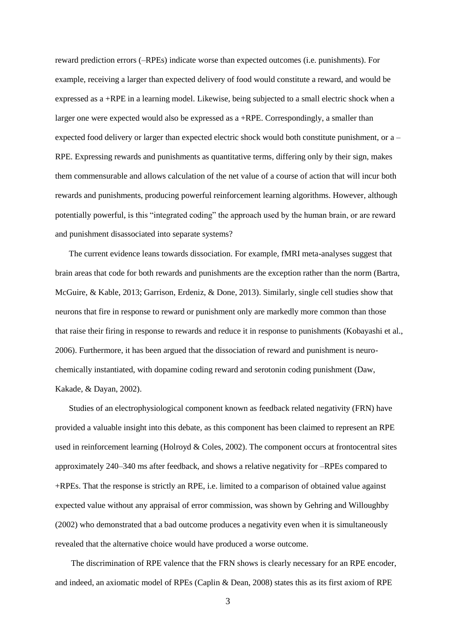reward prediction errors (–RPEs) indicate worse than expected outcomes (i.e. punishments). For example, receiving a larger than expected delivery of food would constitute a reward, and would be expressed as a +RPE in a learning model. Likewise, being subjected to a small electric shock when a larger one were expected would also be expressed as a +RPE. Correspondingly, a smaller than expected food delivery or larger than expected electric shock would both constitute punishment, or a – RPE. Expressing rewards and punishments as quantitative terms, differing only by their sign, makes them commensurable and allows calculation of the net value of a course of action that will incur both rewards and punishments, producing powerful reinforcement learning algorithms. However, although potentially powerful, is this "integrated coding" the approach used by the human brain, or are reward and punishment disassociated into separate systems?

The current evidence leans towards dissociation. For example, fMRI meta-analyses suggest that brain areas that code for both rewards and punishments are the exception rather than the norm (Bartra, McGuire, & Kable, 2013; Garrison, Erdeniz, & Done, 2013). Similarly, single cell studies show that neurons that fire in response to reward or punishment only are markedly more common than those that raise their firing in response to rewards and reduce it in response to punishments (Kobayashi et al., 2006). Furthermore, it has been argued that the dissociation of reward and punishment is neurochemically instantiated, with dopamine coding reward and serotonin coding punishment (Daw, Kakade, & Dayan, 2002).

Studies of an electrophysiological component known as feedback related negativity (FRN) have provided a valuable insight into this debate, as this component has been claimed to represent an RPE used in reinforcement learning (Holroyd & Coles, 2002). The component occurs at frontocentral sites approximately 240–340 ms after feedback, and shows a relative negativity for –RPEs compared to +RPEs. That the response is strictly an RPE, i.e. limited to a comparison of obtained value against expected value without any appraisal of error commission, was shown by Gehring and Willoughby (2002) who demonstrated that a bad outcome produces a negativity even when it is simultaneously revealed that the alternative choice would have produced a worse outcome.

The discrimination of RPE valence that the FRN shows is clearly necessary for an RPE encoder, and indeed, an axiomatic model of RPEs (Caplin & Dean, 2008) states this as its first axiom of RPE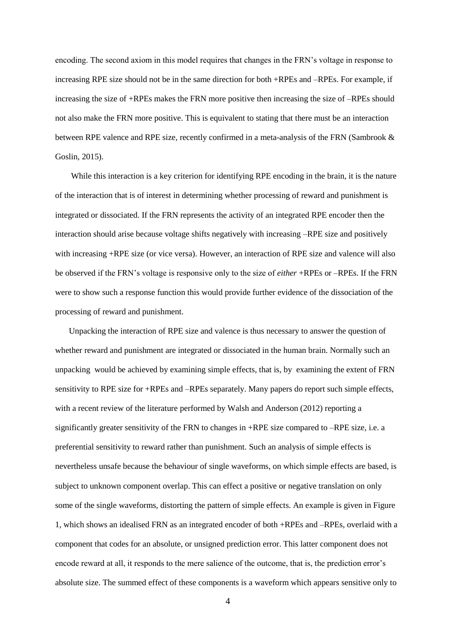encoding. The second axiom in this model requires that changes in the FRN's voltage in response to increasing RPE size should not be in the same direction for both +RPEs and –RPEs. For example, if increasing the size of +RPEs makes the FRN more positive then increasing the size of –RPEs should not also make the FRN more positive. This is equivalent to stating that there must be an interaction between RPE valence and RPE size, recently confirmed in a meta-analysis of the FRN (Sambrook & Goslin, 2015).

While this interaction is a key criterion for identifying RPE encoding in the brain, it is the nature of the interaction that is of interest in determining whether processing of reward and punishment is integrated or dissociated. If the FRN represents the activity of an integrated RPE encoder then the interaction should arise because voltage shifts negatively with increasing –RPE size and positively with increasing +RPE size (or vice versa). However, an interaction of RPE size and valence will also be observed if the FRN's voltage is responsive only to the size of *either* +RPEs or –RPEs. If the FRN were to show such a response function this would provide further evidence of the dissociation of the processing of reward and punishment.

Unpacking the interaction of RPE size and valence is thus necessary to answer the question of whether reward and punishment are integrated or dissociated in the human brain. Normally such an unpacking would be achieved by examining simple effects, that is, by examining the extent of FRN sensitivity to RPE size for +RPEs and –RPEs separately. Many papers do report such simple effects, with a recent review of the literature performed by Walsh and Anderson (2012) reporting a significantly greater sensitivity of the FRN to changes in +RPE size compared to –RPE size, i.e. a preferential sensitivity to reward rather than punishment. Such an analysis of simple effects is nevertheless unsafe because the behaviour of single waveforms, on which simple effects are based, is subject to unknown component overlap. This can effect a positive or negative translation on only some of the single waveforms, distorting the pattern of simple effects. An example is given in Figure 1, which shows an idealised FRN as an integrated encoder of both +RPEs and –RPEs, overlaid with a component that codes for an absolute, or unsigned prediction error. This latter component does not encode reward at all, it responds to the mere salience of the outcome, that is, the prediction error's absolute size. The summed effect of these components is a waveform which appears sensitive only to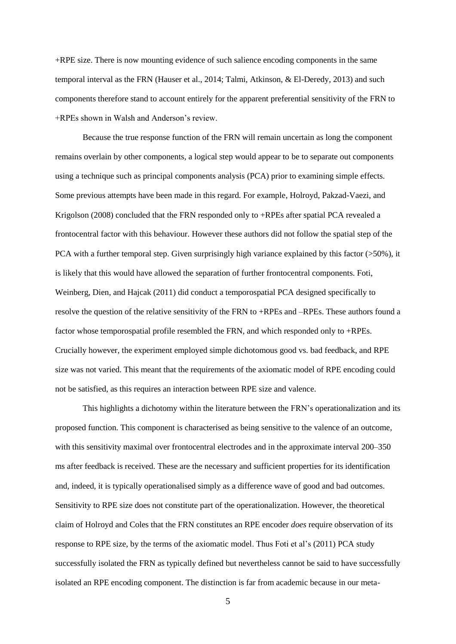+RPE size. There is now mounting evidence of such salience encoding components in the same temporal interval as the FRN (Hauser et al., 2014; Talmi, Atkinson, & El-Deredy, 2013) and such components therefore stand to account entirely for the apparent preferential sensitivity of the FRN to +RPEs shown in Walsh and Anderson's review.

Because the true response function of the FRN will remain uncertain as long the component remains overlain by other components, a logical step would appear to be to separate out components using a technique such as principal components analysis (PCA) prior to examining simple effects. Some previous attempts have been made in this regard. For example, Holroyd, Pakzad-Vaezi, and Krigolson (2008) concluded that the FRN responded only to +RPEs after spatial PCA revealed a frontocentral factor with this behaviour. However these authors did not follow the spatial step of the PCA with a further temporal step. Given surprisingly high variance explained by this factor  $(>50\%)$ , it is likely that this would have allowed the separation of further frontocentral components. Foti, Weinberg, Dien, and Hajcak (2011) did conduct a temporospatial PCA designed specifically to resolve the question of the relative sensitivity of the FRN to +RPEs and –RPEs. These authors found a factor whose temporospatial profile resembled the FRN, and which responded only to +RPEs. Crucially however, the experiment employed simple dichotomous good vs. bad feedback, and RPE size was not varied. This meant that the requirements of the axiomatic model of RPE encoding could not be satisfied, as this requires an interaction between RPE size and valence.

This highlights a dichotomy within the literature between the FRN's operationalization and its proposed function. This component is characterised as being sensitive to the valence of an outcome, with this sensitivity maximal over frontocentral electrodes and in the approximate interval 200–350 ms after feedback is received. These are the necessary and sufficient properties for its identification and, indeed, it is typically operationalised simply as a difference wave of good and bad outcomes. Sensitivity to RPE size does not constitute part of the operationalization. However, the theoretical claim of Holroyd and Coles that the FRN constitutes an RPE encoder *does* require observation of its response to RPE size, by the terms of the axiomatic model. Thus Foti et al's (2011) PCA study successfully isolated the FRN as typically defined but nevertheless cannot be said to have successfully isolated an RPE encoding component. The distinction is far from academic because in our meta-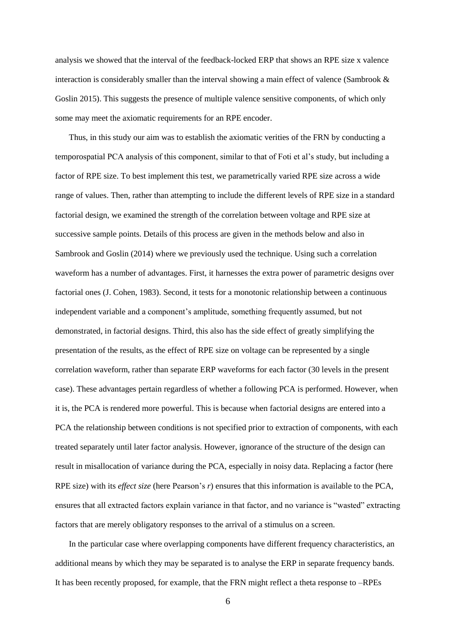analysis we showed that the interval of the feedback-locked ERP that shows an RPE size x valence interaction is considerably smaller than the interval showing a main effect of valence (Sambrook & Goslin 2015). This suggests the presence of multiple valence sensitive components, of which only some may meet the axiomatic requirements for an RPE encoder.

Thus, in this study our aim was to establish the axiomatic verities of the FRN by conducting a temporospatial PCA analysis of this component, similar to that of Foti et al's study, but including a factor of RPE size. To best implement this test, we parametrically varied RPE size across a wide range of values. Then, rather than attempting to include the different levels of RPE size in a standard factorial design, we examined the strength of the correlation between voltage and RPE size at successive sample points. Details of this process are given in the methods below and also in Sambrook and Goslin (2014) where we previously used the technique. Using such a correlation waveform has a number of advantages. First, it harnesses the extra power of parametric designs over factorial ones (J. Cohen, 1983). Second, it tests for a monotonic relationship between a continuous independent variable and a component's amplitude, something frequently assumed, but not demonstrated, in factorial designs. Third, this also has the side effect of greatly simplifying the presentation of the results, as the effect of RPE size on voltage can be represented by a single correlation waveform, rather than separate ERP waveforms for each factor (30 levels in the present case). These advantages pertain regardless of whether a following PCA is performed. However, when it is, the PCA is rendered more powerful. This is because when factorial designs are entered into a PCA the relationship between conditions is not specified prior to extraction of components, with each treated separately until later factor analysis. However, ignorance of the structure of the design can result in misallocation of variance during the PCA, especially in noisy data. Replacing a factor (here RPE size) with its *effect size* (here Pearson's *r*) ensures that this information is available to the PCA, ensures that all extracted factors explain variance in that factor, and no variance is "wasted" extracting factors that are merely obligatory responses to the arrival of a stimulus on a screen.

In the particular case where overlapping components have different frequency characteristics, an additional means by which they may be separated is to analyse the ERP in separate frequency bands. It has been recently proposed, for example, that the FRN might reflect a theta response to –RPEs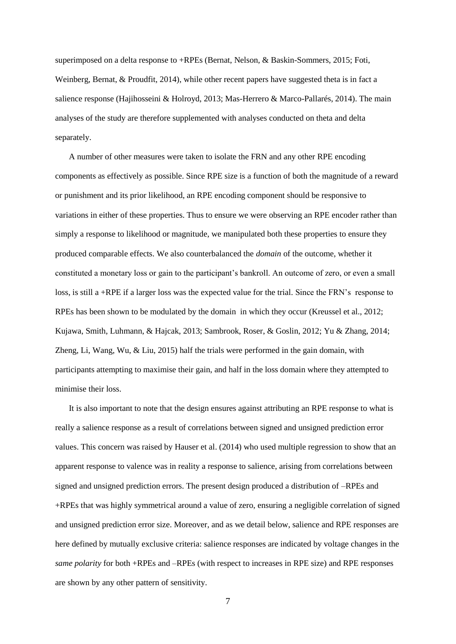superimposed on a delta response to +RPEs (Bernat, Nelson, & Baskin-Sommers, 2015; Foti, Weinberg, Bernat, & Proudfit, 2014), while other recent papers have suggested theta is in fact a salience response (Hajihosseini & Holroyd, 2013; Mas-Herrero & Marco-Pallarés, 2014). The main analyses of the study are therefore supplemented with analyses conducted on theta and delta separately.

A number of other measures were taken to isolate the FRN and any other RPE encoding components as effectively as possible. Since RPE size is a function of both the magnitude of a reward or punishment and its prior likelihood, an RPE encoding component should be responsive to variations in either of these properties. Thus to ensure we were observing an RPE encoder rather than simply a response to likelihood or magnitude, we manipulated both these properties to ensure they produced comparable effects. We also counterbalanced the *domain* of the outcome, whether it constituted a monetary loss or gain to the participant's bankroll. An outcome of zero, or even a small loss, is still a +RPE if a larger loss was the expected value for the trial. Since the FRN's response to RPEs has been shown to be modulated by the domain in which they occur (Kreussel et al., 2012; Kujawa, Smith, Luhmann, & Hajcak, 2013; Sambrook, Roser, & Goslin, 2012; Yu & Zhang, 2014; Zheng, Li, Wang, Wu,  $&$  Liu, 2015) half the trials were performed in the gain domain, with participants attempting to maximise their gain, and half in the loss domain where they attempted to minimise their loss.

It is also important to note that the design ensures against attributing an RPE response to what is really a salience response as a result of correlations between signed and unsigned prediction error values. This concern was raised by Hauser et al. (2014) who used multiple regression to show that an apparent response to valence was in reality a response to salience, arising from correlations between signed and unsigned prediction errors. The present design produced a distribution of –RPEs and +RPEs that was highly symmetrical around a value of zero, ensuring a negligible correlation of signed and unsigned prediction error size. Moreover, and as we detail below, salience and RPE responses are here defined by mutually exclusive criteria: salience responses are indicated by voltage changes in the *same polarity* for both +RPEs and –RPEs (with respect to increases in RPE size) and RPE responses are shown by any other pattern of sensitivity.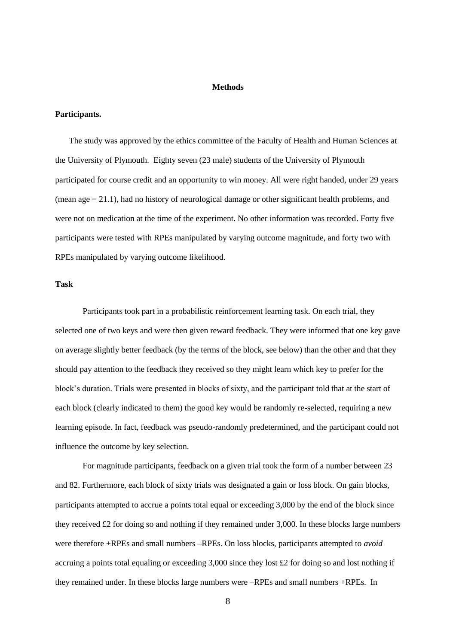### **Methods**

# **Participants.**

The study was approved by the ethics committee of the Faculty of Health and Human Sciences at the University of Plymouth. Eighty seven (23 male) students of the University of Plymouth participated for course credit and an opportunity to win money. All were right handed, under 29 years (mean age  $= 21.1$ ), had no history of neurological damage or other significant health problems, and were not on medication at the time of the experiment. No other information was recorded. Forty five participants were tested with RPEs manipulated by varying outcome magnitude, and forty two with RPEs manipulated by varying outcome likelihood.

# **Task**

Participants took part in a probabilistic reinforcement learning task. On each trial, they selected one of two keys and were then given reward feedback. They were informed that one key gave on average slightly better feedback (by the terms of the block, see below) than the other and that they should pay attention to the feedback they received so they might learn which key to prefer for the block's duration. Trials were presented in blocks of sixty, and the participant told that at the start of each block (clearly indicated to them) the good key would be randomly re-selected, requiring a new learning episode. In fact, feedback was pseudo-randomly predetermined, and the participant could not influence the outcome by key selection.

For magnitude participants, feedback on a given trial took the form of a number between 23 and 82. Furthermore, each block of sixty trials was designated a gain or loss block. On gain blocks, participants attempted to accrue a points total equal or exceeding 3,000 by the end of the block since they received £2 for doing so and nothing if they remained under  $3,000$ . In these blocks large numbers were therefore +RPEs and small numbers –RPEs. On loss blocks, participants attempted to *avoid* accruing a points total equaling or exceeding  $3,000$  since they lost £2 for doing so and lost nothing if they remained under. In these blocks large numbers were –RPEs and small numbers +RPEs. In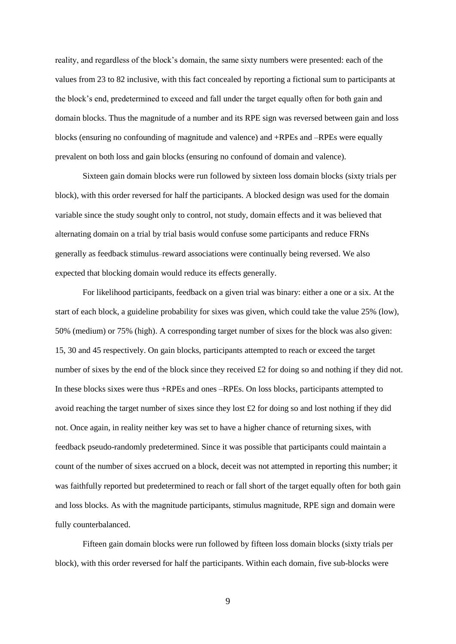reality, and regardless of the block's domain, the same sixty numbers were presented: each of the values from 23 to 82 inclusive, with this fact concealed by reporting a fictional sum to participants at the block's end, predetermined to exceed and fall under the target equally often for both gain and domain blocks. Thus the magnitude of a number and its RPE sign was reversed between gain and loss blocks (ensuring no confounding of magnitude and valence) and +RPEs and –RPEs were equally prevalent on both loss and gain blocks (ensuring no confound of domain and valence).

Sixteen gain domain blocks were run followed by sixteen loss domain blocks (sixty trials per block), with this order reversed for half the participants. A blocked design was used for the domain variable since the study sought only to control, not study, domain effects and it was believed that alternating domain on a trial by trial basis would confuse some participants and reduce FRNs generally as feedback stimulus–reward associations were continually being reversed. We also expected that blocking domain would reduce its effects generally.

For likelihood participants, feedback on a given trial was binary: either a one or a six. At the start of each block, a guideline probability for sixes was given, which could take the value 25% (low), 50% (medium) or 75% (high). A corresponding target number of sixes for the block was also given: 15, 30 and 45 respectively. On gain blocks, participants attempted to reach or exceed the target number of sixes by the end of the block since they received £2 for doing so and nothing if they did not. In these blocks sixes were thus +RPEs and ones –RPEs. On loss blocks, participants attempted to avoid reaching the target number of sixes since they lost £2 for doing so and lost nothing if they did not. Once again, in reality neither key was set to have a higher chance of returning sixes, with feedback pseudo-randomly predetermined. Since it was possible that participants could maintain a count of the number of sixes accrued on a block, deceit was not attempted in reporting this number; it was faithfully reported but predetermined to reach or fall short of the target equally often for both gain and loss blocks. As with the magnitude participants, stimulus magnitude, RPE sign and domain were fully counterbalanced.

Fifteen gain domain blocks were run followed by fifteen loss domain blocks (sixty trials per block), with this order reversed for half the participants. Within each domain, five sub-blocks were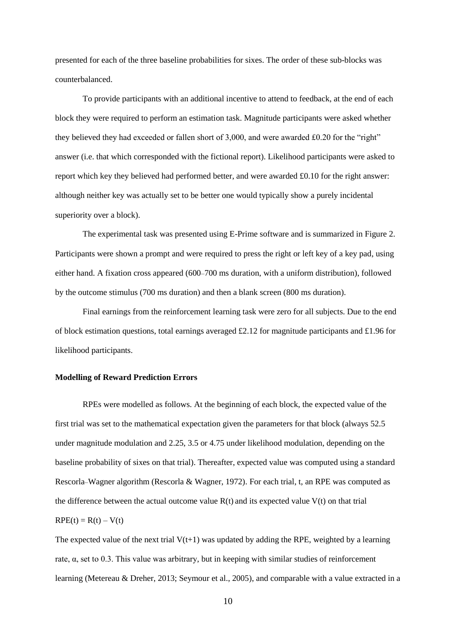presented for each of the three baseline probabilities for sixes. The order of these sub-blocks was counterbalanced.

To provide participants with an additional incentive to attend to feedback, at the end of each block they were required to perform an estimation task. Magnitude participants were asked whether they believed they had exceeded or fallen short of 3,000, and were awarded £0.20 for the "right" answer (i.e. that which corresponded with the fictional report). Likelihood participants were asked to report which key they believed had performed better, and were awarded £0.10 for the right answer: although neither key was actually set to be better one would typically show a purely incidental superiority over a block).

The experimental task was presented using E-Prime software and is summarized in Figure 2. Participants were shown a prompt and were required to press the right or left key of a key pad, using either hand. A fixation cross appeared (600–700 ms duration, with a uniform distribution), followed by the outcome stimulus (700 ms duration) and then a blank screen (800 ms duration).

Final earnings from the reinforcement learning task were zero for all subjects. Due to the end of block estimation questions, total earnings averaged £2.12 for magnitude participants and £1.96 for likelihood participants.

### **Modelling of Reward Prediction Errors**

RPEs were modelled as follows. At the beginning of each block, the expected value of the first trial was set to the mathematical expectation given the parameters for that block (always 52.5 under magnitude modulation and 2.25, 3.5 or 4.75 under likelihood modulation, depending on the baseline probability of sixes on that trial). Thereafter, expected value was computed using a standard Rescorla–Wagner algorithm (Rescorla & Wagner, 1972). For each trial, t, an RPE was computed as the difference between the actual outcome value  $R(t)$  and its expected value  $V(t)$  on that trial  $RPE(t) = R(t) - V(t)$ 

The expected value of the next trial  $V(t+1)$  was updated by adding the RPE, weighted by a learning rate, α, set to 0.3. This value was arbitrary, but in keeping with similar studies of reinforcement learning (Metereau & Dreher, 2013; Seymour et al., 2005), and comparable with a value extracted in a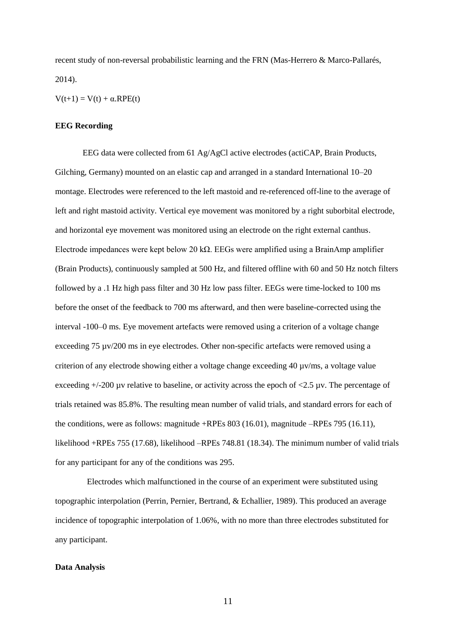recent study of non-reversal probabilistic learning and the FRN (Mas-Herrero & Marco-Pallarés, 2014).

 $V(t+1) = V(t) + \alpha RPE(t)$ 

#### **EEG Recording**

EEG data were collected from 61 Ag/AgCl active electrodes (actiCAP, Brain Products, Gilching, Germany) mounted on an elastic cap and arranged in a standard International 10–20 montage. Electrodes were referenced to the left mastoid and re-referenced off-line to the average of left and right mastoid activity. Vertical eye movement was monitored by a right suborbital electrode, and horizontal eye movement was monitored using an electrode on the right external canthus. Electrode impedances were kept below 20 kΩ. EEGs were amplified using a BrainAmp amplifier (Brain Products), continuously sampled at 500 Hz, and filtered offline with 60 and 50 Hz notch filters followed by a .1 Hz high pass filter and 30 Hz low pass filter. EEGs were time-locked to 100 ms before the onset of the feedback to 700 ms afterward, and then were baseline-corrected using the interval -100–0 ms. Eye movement artefacts were removed using a criterion of a voltage change exceeding 75 µv/200 ms in eye electrodes. Other non-specific artefacts were removed using a criterion of any electrode showing either a voltage change exceeding 40 µv/ms, a voltage value exceeding  $+/-200$  µv relative to baseline, or activity across the epoch of  $<2.5$  µv. The percentage of trials retained was 85.8%. The resulting mean number of valid trials, and standard errors for each of the conditions, were as follows: magnitude +RPEs 803 (16.01), magnitude –RPEs 795 (16.11), likelihood +RPEs 755 (17.68), likelihood –RPEs 748.81 (18.34). The minimum number of valid trials for any participant for any of the conditions was 295.

 Electrodes which malfunctioned in the course of an experiment were substituted using topographic interpolation (Perrin, Pernier, Bertrand, & Echallier, 1989). This produced an average incidence of topographic interpolation of 1.06%, with no more than three electrodes substituted for any participant.

#### **Data Analysis**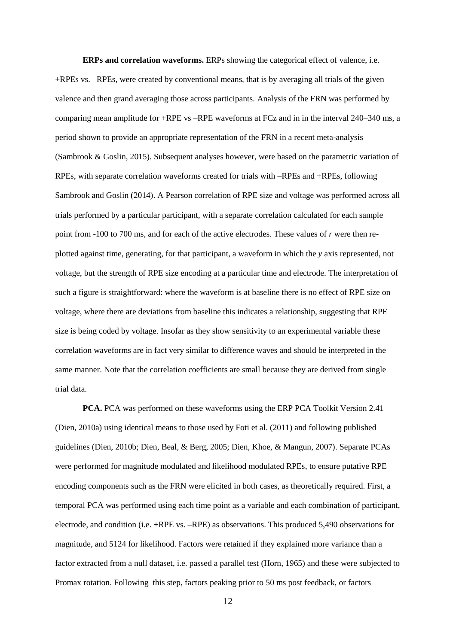**ERPs and correlation waveforms.** ERPs showing the categorical effect of valence, i.e. +RPEs vs. –RPEs, were created by conventional means, that is by averaging all trials of the given valence and then grand averaging those across participants. Analysis of the FRN was performed by comparing mean amplitude for +RPE vs –RPE waveforms at FCz and in in the interval 240–340 ms, a period shown to provide an appropriate representation of the FRN in a recent meta-analysis (Sambrook & Goslin, 2015). Subsequent analyses however, were based on the parametric variation of RPEs, with separate correlation waveforms created for trials with –RPEs and +RPEs, following Sambrook and Goslin (2014). A Pearson correlation of RPE size and voltage was performed across all trials performed by a particular participant, with a separate correlation calculated for each sample point from -100 to 700 ms, and for each of the active electrodes. These values of *r* were then replotted against time, generating, for that participant, a waveform in which the *y* axis represented, not voltage, but the strength of RPE size encoding at a particular time and electrode. The interpretation of such a figure is straightforward: where the waveform is at baseline there is no effect of RPE size on voltage, where there are deviations from baseline this indicates a relationship, suggesting that RPE size is being coded by voltage. Insofar as they show sensitivity to an experimental variable these correlation waveforms are in fact very similar to difference waves and should be interpreted in the same manner. Note that the correlation coefficients are small because they are derived from single trial data.

**PCA.** PCA was performed on these waveforms using the ERP PCA Toolkit Version 2.41 (Dien, 2010a) using identical means to those used by Foti et al. (2011) and following published guidelines (Dien, 2010b; Dien, Beal, & Berg, 2005; Dien, Khoe, & Mangun, 2007). Separate PCAs were performed for magnitude modulated and likelihood modulated RPEs, to ensure putative RPE encoding components such as the FRN were elicited in both cases, as theoretically required. First, a temporal PCA was performed using each time point as a variable and each combination of participant, electrode, and condition (i.e. +RPE vs. –RPE) as observations. This produced 5,490 observations for magnitude, and 5124 for likelihood. Factors were retained if they explained more variance than a factor extracted from a null dataset, i.e. passed a parallel test (Horn, 1965) and these were subjected to Promax rotation. Following this step, factors peaking prior to 50 ms post feedback, or factors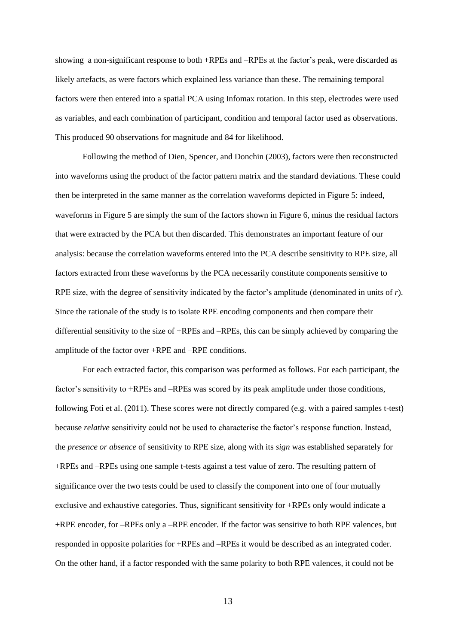showing a non-significant response to both +RPEs and –RPEs at the factor's peak, were discarded as likely artefacts, as were factors which explained less variance than these. The remaining temporal factors were then entered into a spatial PCA using Infomax rotation. In this step, electrodes were used as variables, and each combination of participant, condition and temporal factor used as observations. This produced 90 observations for magnitude and 84 for likelihood.

Following the method of Dien, Spencer, and Donchin (2003), factors were then reconstructed into waveforms using the product of the factor pattern matrix and the standard deviations. These could then be interpreted in the same manner as the correlation waveforms depicted in Figure 5: indeed, waveforms in Figure 5 are simply the sum of the factors shown in Figure 6, minus the residual factors that were extracted by the PCA but then discarded. This demonstrates an important feature of our analysis: because the correlation waveforms entered into the PCA describe sensitivity to RPE size, all factors extracted from these waveforms by the PCA necessarily constitute components sensitive to RPE size, with the degree of sensitivity indicated by the factor's amplitude (denominated in units of *r*). Since the rationale of the study is to isolate RPE encoding components and then compare their differential sensitivity to the size of +RPEs and –RPEs, this can be simply achieved by comparing the amplitude of the factor over +RPE and –RPE conditions.

For each extracted factor, this comparison was performed as follows. For each participant, the factor's sensitivity to +RPEs and –RPEs was scored by its peak amplitude under those conditions, following Foti et al. (2011). These scores were not directly compared (e.g. with a paired samples t-test) because *relative* sensitivity could not be used to characterise the factor's response function. Instead, the *presence or absence* of sensitivity to RPE size, along with its *sign* was established separately for +RPEs and –RPEs using one sample t-tests against a test value of zero. The resulting pattern of significance over the two tests could be used to classify the component into one of four mutually exclusive and exhaustive categories. Thus, significant sensitivity for +RPEs only would indicate a +RPE encoder, for –RPEs only a –RPE encoder. If the factor was sensitive to both RPE valences, but responded in opposite polarities for +RPEs and –RPEs it would be described as an integrated coder. On the other hand, if a factor responded with the same polarity to both RPE valences, it could not be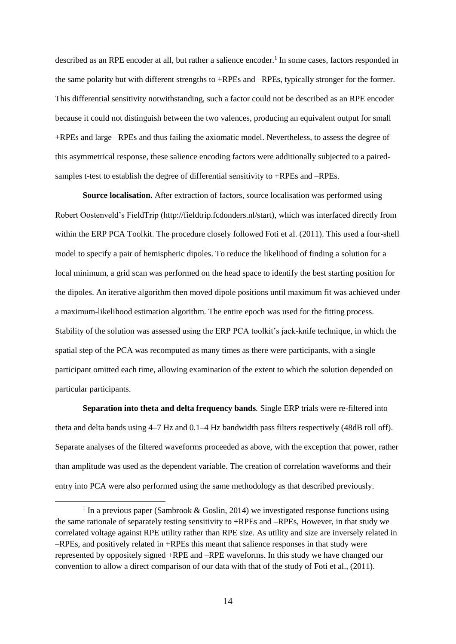described as an RPE encoder at all, but rather a salience encoder.<sup>1</sup> In some cases, factors responded in the same polarity but with different strengths to +RPEs and –RPEs, typically stronger for the former. This differential sensitivity notwithstanding, such a factor could not be described as an RPE encoder because it could not distinguish between the two valences, producing an equivalent output for small +RPEs and large –RPEs and thus failing the axiomatic model. Nevertheless, to assess the degree of this asymmetrical response, these salience encoding factors were additionally subjected to a pairedsamples t-test to establish the degree of differential sensitivity to +RPEs and –RPEs.

**Source localisation.** After extraction of factors, source localisation was performed using Robert Oostenveld's FieldTrip (http://fieldtrip.fcdonders.nl/start), which was interfaced directly from within the ERP PCA Toolkit. The procedure closely followed Foti et al. (2011). This used a four-shell model to specify a pair of hemispheric dipoles. To reduce the likelihood of finding a solution for a local minimum, a grid scan was performed on the head space to identify the best starting position for the dipoles. An iterative algorithm then moved dipole positions until maximum fit was achieved under a maximum-likelihood estimation algorithm. The entire epoch was used for the fitting process. Stability of the solution was assessed using the ERP PCA toolkit's jack-knife technique, in which the spatial step of the PCA was recomputed as many times as there were participants, with a single participant omitted each time, allowing examination of the extent to which the solution depended on particular participants.

**Separation into theta and delta frequency bands***.* Single ERP trials were re-filtered into theta and delta bands using 4–7 Hz and 0.1–4 Hz bandwidth pass filters respectively (48dB roll off). Separate analyses of the filtered waveforms proceeded as above, with the exception that power, rather than amplitude was used as the dependent variable. The creation of correlation waveforms and their entry into PCA were also performed using the same methodology as that described previously.

<sup>&</sup>lt;sup>1</sup> In a previous paper (Sambrook & Goslin, 2014) we investigated response functions using the same rationale of separately testing sensitivity to +RPEs and –RPEs, However, in that study we correlated voltage against RPE utility rather than RPE size. As utility and size are inversely related in –RPEs, and positively related in +RPEs this meant that salience responses in that study were represented by oppositely signed +RPE and –RPE waveforms. In this study we have changed our convention to allow a direct comparison of our data with that of the study of Foti et al., (2011).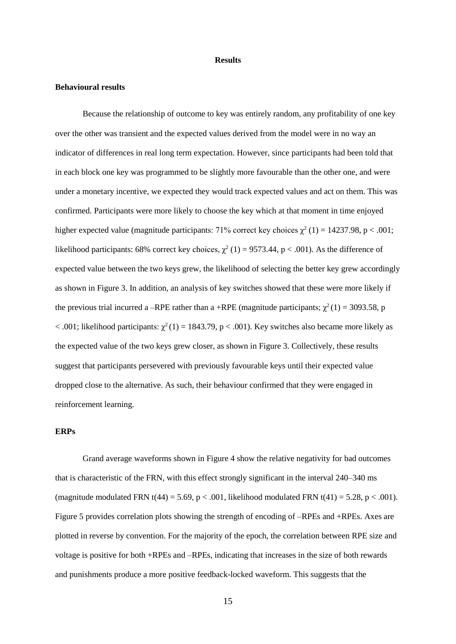#### **Results**

# **Behavioural results**

Because the relationship of outcome to key was entirely random, any profitability of one key over the other was transient and the expected values derived from the model were in no way an indicator of differences in real long term expectation. However, since participants had been told that in each block one key was programmed to be slightly more favourable than the other one, and were under a monetary incentive, we expected they would track expected values and act on them. This was confirmed. Participants were more likely to choose the key which at that moment in time enjoyed higher expected value (magnitude participants: 71% correct key choices  $\chi^2$  (1) = 14237.98, p < .001; likelihood participants: 68% correct key choices,  $\chi^2$  (1) = 9573.44, p < .001). As the difference of expected value between the two keys grew, the likelihood of selecting the better key grew accordingly as shown in Figure 3. In addition, an analysis of key switches showed that these were more likely if the previous trial incurred a –RPE rather than a +RPE (magnitude participants;  $\chi^2(1) = 3093.58$ , p  $<$  .001; likelihood participants:  $\chi^2(1) = 1843.79$ , p  $<$  .001). Key switches also became more likely as the expected value of the two keys grew closer, as shown in Figure 3. Collectively, these results suggest that participants persevered with previously favourable keys until their expected value dropped close to the alternative. As such, their behaviour confirmed that they were engaged in reinforcement learning.

# **ERPs**

Grand average waveforms shown in Figure 4 show the relative negativity for bad outcomes that is characteristic of the FRN, with this effect strongly significant in the interval 240–340 ms (magnitude modulated FRN t(44) = 5.69, p < .001, likelihood modulated FRN t(41) = 5.28, p < .001). Figure 5 provides correlation plots showing the strength of encoding of –RPEs and +RPEs. Axes are plotted in reverse by convention. For the majority of the epoch, the correlation between RPE size and voltage is positive for both +RPEs and –RPEs, indicating that increases in the size of both rewards and punishments produce a more positive feedback-locked waveform. This suggests that the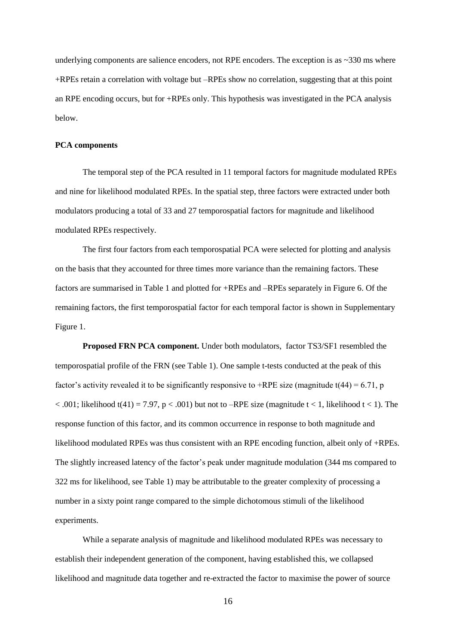underlying components are salience encoders, not RPE encoders. The exception is as  $\sim$ 330 ms where +RPEs retain a correlation with voltage but –RPEs show no correlation, suggesting that at this point an RPE encoding occurs, but for +RPEs only. This hypothesis was investigated in the PCA analysis below.

#### **PCA components**

The temporal step of the PCA resulted in 11 temporal factors for magnitude modulated RPEs and nine for likelihood modulated RPEs. In the spatial step, three factors were extracted under both modulators producing a total of 33 and 27 temporospatial factors for magnitude and likelihood modulated RPEs respectively.

The first four factors from each temporospatial PCA were selected for plotting and analysis on the basis that they accounted for three times more variance than the remaining factors. These factors are summarised in Table 1 and plotted for +RPEs and –RPEs separately in Figure 6. Of the remaining factors, the first temporospatial factor for each temporal factor is shown in Supplementary Figure 1.

**Proposed FRN PCA component.** Under both modulators, factor TS3/SF1 resembled the temporospatial profile of the FRN (see Table 1). One sample t-tests conducted at the peak of this factor's activity revealed it to be significantly responsive to +RPE size (magnitude  $t(44) = 6.71$ , p  $< .001$ ; likelihood t(41) = 7.97, p  $< .001$ ) but not to –RPE size (magnitude t  $< 1$ , likelihood t  $< 1$ ). The response function of this factor, and its common occurrence in response to both magnitude and likelihood modulated RPEs was thus consistent with an RPE encoding function, albeit only of +RPEs. The slightly increased latency of the factor's peak under magnitude modulation (344 ms compared to 322 ms for likelihood, see Table 1) may be attributable to the greater complexity of processing a number in a sixty point range compared to the simple dichotomous stimuli of the likelihood experiments.

While a separate analysis of magnitude and likelihood modulated RPEs was necessary to establish their independent generation of the component, having established this, we collapsed likelihood and magnitude data together and re-extracted the factor to maximise the power of source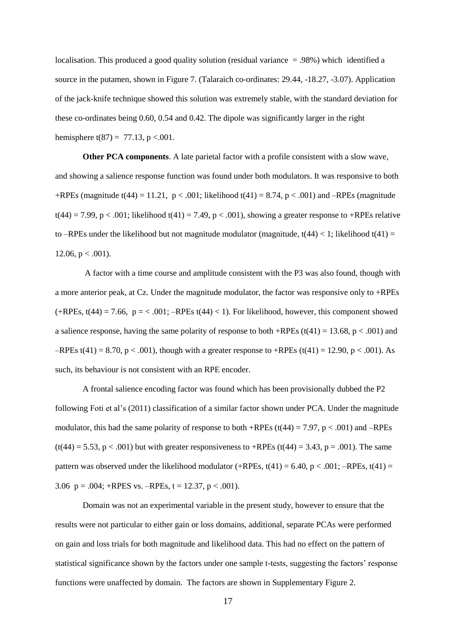localisation. This produced a good quality solution (residual variance = .98%) which identified a source in the putamen, shown in Figure 7. (Talaraich co-ordinates: 29.44, -18.27, -3.07). Application of the jack-knife technique showed this solution was extremely stable, with the standard deviation for these co-ordinates being 0.60, 0.54 and 0.42. The dipole was significantly larger in the right hemisphere t(87) = 77.13, p < 0.001.

**Other PCA components**. A late parietal factor with a profile consistent with a slow wave, and showing a salience response function was found under both modulators. It was responsive to both +RPEs (magnitude t(44) = 11.21, p < .001; likelihood t(41) = 8.74, p < .001) and –RPEs (magnitude  $t(44) = 7.99$ , p < .001; likelihood  $t(41) = 7.49$ , p < .001), showing a greater response to +RPEs relative to –RPEs under the likelihood but not magnitude modulator (magnitude,  $t(44) < 1$ ; likelihood  $t(41) =$ 12.06,  $p < .001$ ).

A factor with a time course and amplitude consistent with the P3 was also found, though with a more anterior peak, at Cz. Under the magnitude modulator, the factor was responsive only to +RPEs  $(+RPEs, t(44) = 7.66, p = < .001; -RPEs t(44) < 1$ . For likelihood, however, this component showed a salience response, having the same polarity of response to both +RPEs (t(41) = 13.68, p < .001) and  $-$ RPEs t(41) = 8.70, p < .001), though with a greater response to +RPEs (t(41) = 12.90, p < .001). As such, its behaviour is not consistent with an RPE encoder.

A frontal salience encoding factor was found which has been provisionally dubbed the P2 following Foti et al's (2011) classification of a similar factor shown under PCA. Under the magnitude modulator, this had the same polarity of response to both +RPEs (t(44) = 7.97,  $p < .001$ ) and –RPEs  $(t(44) = 5.53, p < .001)$  but with greater responsiveness to +RPEs  $(t(44) = 3.43, p = .001)$ . The same pattern was observed under the likelihood modulator (+RPEs,  $t(41) = 6.40$ ,  $p < .001$ ; -RPEs,  $t(41) =$ 3.06  $p = .004$ ; +RPES vs. -RPEs,  $t = 12.37$ ,  $p < .001$ ).

Domain was not an experimental variable in the present study, however to ensure that the results were not particular to either gain or loss domains, additional, separate PCAs were performed on gain and loss trials for both magnitude and likelihood data. This had no effect on the pattern of statistical significance shown by the factors under one sample t-tests, suggesting the factors' response functions were unaffected by domain. The factors are shown in Supplementary Figure 2.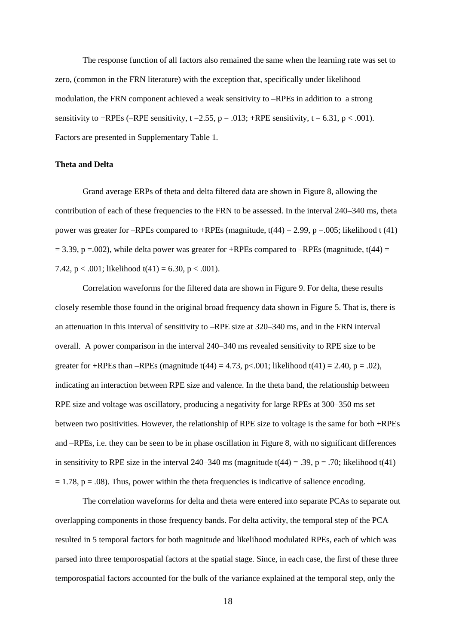The response function of all factors also remained the same when the learning rate was set to zero, (common in the FRN literature) with the exception that, specifically under likelihood modulation, the FRN component achieved a weak sensitivity to –RPEs in addition to a strong sensitivity to +RPEs (–RPE sensitivity, t = 2.55, p = .013; +RPE sensitivity, t = 6.31, p < .001). Factors are presented in Supplementary Table 1.

## **Theta and Delta**

Grand average ERPs of theta and delta filtered data are shown in Figure 8, allowing the contribution of each of these frequencies to the FRN to be assessed. In the interval 240–340 ms, theta power was greater for –RPEs compared to +RPEs (magnitude,  $t(44) = 2.99$ , p = 0.005; likelihood t (41)  $= 3.39$ , p =.002), while delta power was greater for +RPEs compared to –RPEs (magnitude, t(44) = 7.42,  $p < .001$ ; likelihood  $t(41) = 6.30$ ,  $p < .001$ ).

Correlation waveforms for the filtered data are shown in Figure 9. For delta, these results closely resemble those found in the original broad frequency data shown in Figure 5. That is, there is an attenuation in this interval of sensitivity to –RPE size at 320–340 ms, and in the FRN interval overall. A power comparison in the interval 240–340 ms revealed sensitivity to RPE size to be greater for +RPEs than –RPEs (magnitude  $t(44) = 4.73$ , p<.001; likelihood  $t(41) = 2.40$ , p = .02), indicating an interaction between RPE size and valence. In the theta band, the relationship between RPE size and voltage was oscillatory, producing a negativity for large RPEs at 300–350 ms set between two positivities. However, the relationship of RPE size to voltage is the same for both +RPEs and –RPEs, i.e. they can be seen to be in phase oscillation in Figure 8, with no significant differences in sensitivity to RPE size in the interval 240–340 ms (magnitude  $t(44) = .39$ , p = .70; likelihood  $t(41)$  $= 1.78$ ,  $p = .08$ ). Thus, power within the theta frequencies is indicative of salience encoding.

The correlation waveforms for delta and theta were entered into separate PCAs to separate out overlapping components in those frequency bands. For delta activity, the temporal step of the PCA resulted in 5 temporal factors for both magnitude and likelihood modulated RPEs, each of which was parsed into three temporospatial factors at the spatial stage. Since, in each case, the first of these three temporospatial factors accounted for the bulk of the variance explained at the temporal step, only the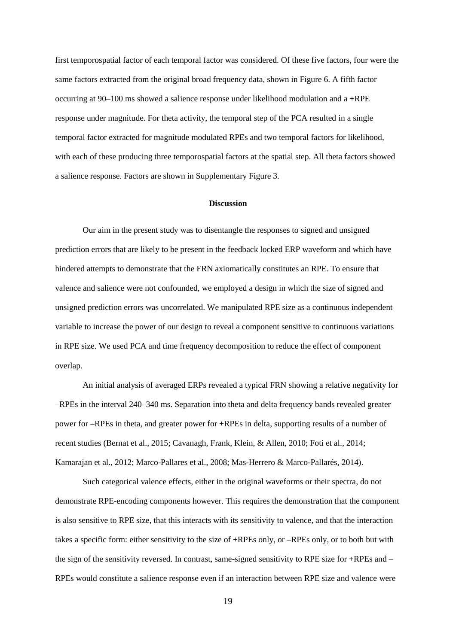first temporospatial factor of each temporal factor was considered. Of these five factors, four were the same factors extracted from the original broad frequency data, shown in Figure 6. A fifth factor occurring at 90–100 ms showed a salience response under likelihood modulation and a +RPE response under magnitude. For theta activity, the temporal step of the PCA resulted in a single temporal factor extracted for magnitude modulated RPEs and two temporal factors for likelihood, with each of these producing three temporospatial factors at the spatial step. All theta factors showed a salience response. Factors are shown in Supplementary Figure 3.

#### **Discussion**

Our aim in the present study was to disentangle the responses to signed and unsigned prediction errors that are likely to be present in the feedback locked ERP waveform and which have hindered attempts to demonstrate that the FRN axiomatically constitutes an RPE. To ensure that valence and salience were not confounded, we employed a design in which the size of signed and unsigned prediction errors was uncorrelated. We manipulated RPE size as a continuous independent variable to increase the power of our design to reveal a component sensitive to continuous variations in RPE size. We used PCA and time frequency decomposition to reduce the effect of component overlap.

An initial analysis of averaged ERPs revealed a typical FRN showing a relative negativity for –RPEs in the interval 240–340 ms. Separation into theta and delta frequency bands revealed greater power for –RPEs in theta, and greater power for +RPEs in delta, supporting results of a number of recent studies (Bernat et al., 2015; Cavanagh, Frank, Klein, & Allen, 2010; Foti et al., 2014; Kamarajan et al., 2012; Marco-Pallares et al., 2008; Mas-Herrero & Marco-Pallarés, 2014).

Such categorical valence effects, either in the original waveforms or their spectra, do not demonstrate RPE-encoding components however. This requires the demonstration that the component is also sensitive to RPE size, that this interacts with its sensitivity to valence, and that the interaction takes a specific form: either sensitivity to the size of +RPEs only, or –RPEs only, or to both but with the sign of the sensitivity reversed. In contrast, same-signed sensitivity to RPE size for +RPEs and – RPEs would constitute a salience response even if an interaction between RPE size and valence were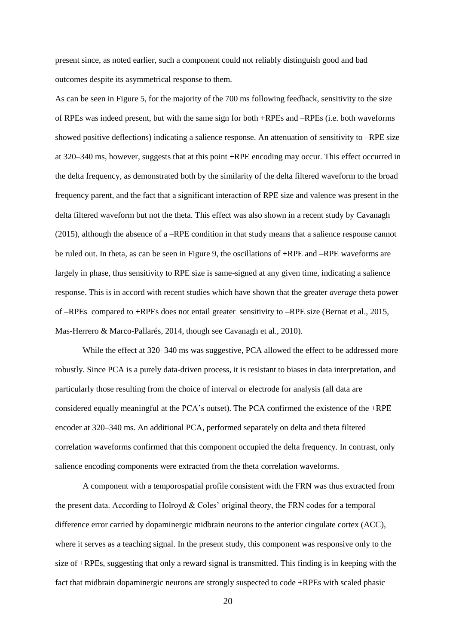present since, as noted earlier, such a component could not reliably distinguish good and bad outcomes despite its asymmetrical response to them.

As can be seen in Figure 5, for the majority of the 700 ms following feedback, sensitivity to the size of RPEs was indeed present, but with the same sign for both +RPEs and –RPEs (i.e. both waveforms showed positive deflections) indicating a salience response. An attenuation of sensitivity to –RPE size at 320–340 ms, however, suggests that at this point +RPE encoding may occur. This effect occurred in the delta frequency, as demonstrated both by the similarity of the delta filtered waveform to the broad frequency parent, and the fact that a significant interaction of RPE size and valence was present in the delta filtered waveform but not the theta. This effect was also shown in a recent study by Cavanagh (2015), although the absence of a –RPE condition in that study means that a salience response cannot be ruled out. In theta, as can be seen in Figure 9, the oscillations of +RPE and –RPE waveforms are largely in phase, thus sensitivity to RPE size is same-signed at any given time, indicating a salience response. This is in accord with recent studies which have shown that the greater *average* theta power of –RPEs compared to +RPEs does not entail greater sensitivity to –RPE size (Bernat et al., 2015, Mas-Herrero & Marco-Pallarés, 2014, though see Cavanagh et al., 2010).

While the effect at 320–340 ms was suggestive, PCA allowed the effect to be addressed more robustly. Since PCA is a purely data-driven process, it is resistant to biases in data interpretation, and particularly those resulting from the choice of interval or electrode for analysis (all data are considered equally meaningful at the PCA's outset). The PCA confirmed the existence of the +RPE encoder at 320–340 ms. An additional PCA, performed separately on delta and theta filtered correlation waveforms confirmed that this component occupied the delta frequency. In contrast, only salience encoding components were extracted from the theta correlation waveforms.

A component with a temporospatial profile consistent with the FRN was thus extracted from the present data. According to Holroyd & Coles' original theory, the FRN codes for a temporal difference error carried by dopaminergic midbrain neurons to the anterior cingulate cortex (ACC), where it serves as a teaching signal. In the present study, this component was responsive only to the size of +RPEs, suggesting that only a reward signal is transmitted. This finding is in keeping with the fact that midbrain dopaminergic neurons are strongly suspected to code +RPEs with scaled phasic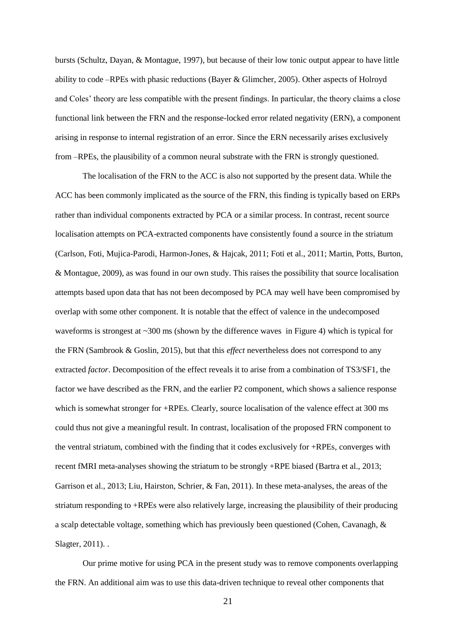bursts (Schultz, Dayan, & Montague, 1997), but because of their low tonic output appear to have little ability to code –RPEs with phasic reductions (Bayer & Glimcher, 2005). Other aspects of Holroyd and Coles' theory are less compatible with the present findings. In particular, the theory claims a close functional link between the FRN and the response-locked error related negativity (ERN), a component arising in response to internal registration of an error. Since the ERN necessarily arises exclusively from –RPEs, the plausibility of a common neural substrate with the FRN is strongly questioned.

The localisation of the FRN to the ACC is also not supported by the present data. While the ACC has been commonly implicated as the source of the FRN, this finding is typically based on ERPs rather than individual components extracted by PCA or a similar process. In contrast, recent source localisation attempts on PCA-extracted components have consistently found a source in the striatum (Carlson, Foti, Mujica-Parodi, Harmon-Jones, & Hajcak, 2011; Foti et al., 2011; Martin, Potts, Burton, & Montague, 2009), as was found in our own study. This raises the possibility that source localisation attempts based upon data that has not been decomposed by PCA may well have been compromised by overlap with some other component. It is notable that the effect of valence in the undecomposed waveforms is strongest at  $\sim$ 300 ms (shown by the difference waves in Figure 4) which is typical for the FRN (Sambrook & Goslin, 2015), but that this *effect* nevertheless does not correspond to any extracted *factor*. Decomposition of the effect reveals it to arise from a combination of TS3/SF1, the factor we have described as the FRN, and the earlier P2 component, which shows a salience response which is somewhat stronger for +RPEs. Clearly, source localisation of the valence effect at 300 ms could thus not give a meaningful result. In contrast, localisation of the proposed FRN component to the ventral striatum, combined with the finding that it codes exclusively for +RPEs, converges with recent fMRI meta-analyses showing the striatum to be strongly +RPE biased (Bartra et al., 2013; Garrison et al., 2013; Liu, Hairston, Schrier, & Fan, 2011). In these meta-analyses, the areas of the striatum responding to +RPEs were also relatively large, increasing the plausibility of their producing a scalp detectable voltage, something which has previously been questioned [\(Cohen, Cavanagh, &](#page-25-0)  [Slagter, 2011\)](#page-25-0). .

Our prime motive for using PCA in the present study was to remove components overlapping the FRN. An additional aim was to use this data-driven technique to reveal other components that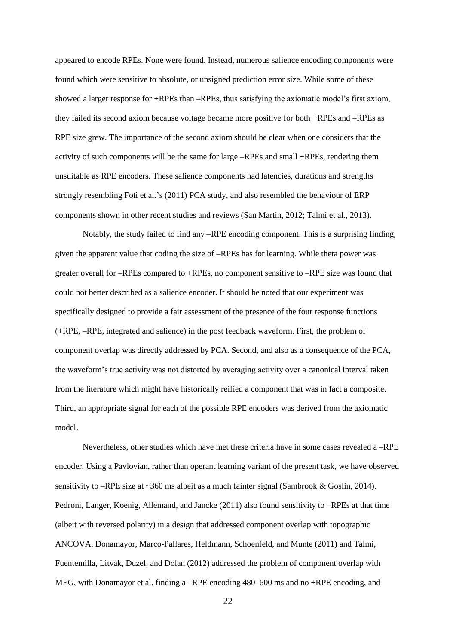appeared to encode RPEs. None were found. Instead, numerous salience encoding components were found which were sensitive to absolute, or unsigned prediction error size. While some of these showed a larger response for +RPEs than –RPEs, thus satisfying the axiomatic model's first axiom, they failed its second axiom because voltage became more positive for both +RPEs and –RPEs as RPE size grew. The importance of the second axiom should be clear when one considers that the activity of such components will be the same for large –RPEs and small +RPEs, rendering them unsuitable as RPE encoders. These salience components had latencies, durations and strengths strongly resembling Foti et al.'s (2011) PCA study, and also resembled the behaviour of ERP components shown in other recent studies and reviews (San Martin, 2012; Talmi et al., 2013).

Notably, the study failed to find any –RPE encoding component. This is a surprising finding, given the apparent value that coding the size of –RPEs has for learning. While theta power was greater overall for –RPEs compared to +RPEs, no component sensitive to –RPE size was found that could not better described as a salience encoder. It should be noted that our experiment was specifically designed to provide a fair assessment of the presence of the four response functions (+RPE, –RPE, integrated and salience) in the post feedback waveform. First, the problem of component overlap was directly addressed by PCA. Second, and also as a consequence of the PCA, the waveform's true activity was not distorted by averaging activity over a canonical interval taken from the literature which might have historically reified a component that was in fact a composite. Third, an appropriate signal for each of the possible RPE encoders was derived from the axiomatic model.

Nevertheless, other studies which have met these criteria have in some cases revealed a –RPE encoder. Using a Pavlovian, rather than operant learning variant of the present task, we have observed sensitivity to –RPE size at ~360 ms albeit as a much fainter signal (Sambrook & Goslin, 2014). Pedroni, Langer, Koenig, Allemand, and Jancke (2011) also found sensitivity to –RPEs at that time (albeit with reversed polarity) in a design that addressed component overlap with topographic ANCOVA. Donamayor, Marco-Pallares, Heldmann, Schoenfeld, and Munte (2011) and Talmi, Fuentemilla, Litvak, Duzel, and Dolan (2012) addressed the problem of component overlap with MEG, with Donamayor et al. finding a –RPE encoding 480–600 ms and no +RPE encoding, and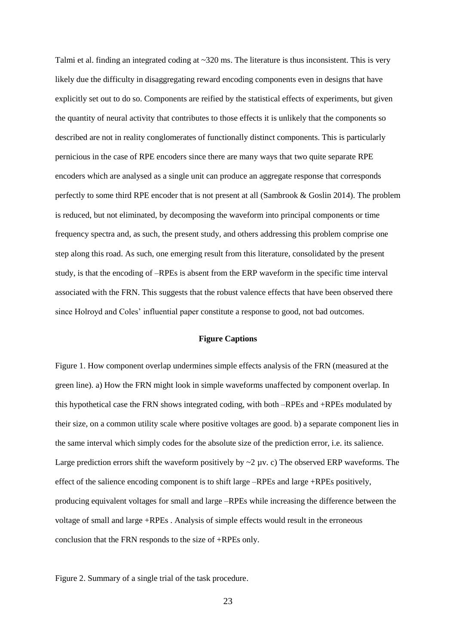Talmi et al. finding an integrated coding at  $\sim$ 320 ms. The literature is thus inconsistent. This is very likely due the difficulty in disaggregating reward encoding components even in designs that have explicitly set out to do so. Components are reified by the statistical effects of experiments, but given the quantity of neural activity that contributes to those effects it is unlikely that the components so described are not in reality conglomerates of functionally distinct components. This is particularly pernicious in the case of RPE encoders since there are many ways that two quite separate RPE encoders which are analysed as a single unit can produce an aggregate response that corresponds perfectly to some third RPE encoder that is not present at all (Sambrook & Goslin 2014). The problem is reduced, but not eliminated, by decomposing the waveform into principal components or time frequency spectra and, as such, the present study, and others addressing this problem comprise one step along this road. As such, one emerging result from this literature, consolidated by the present study, is that the encoding of –RPEs is absent from the ERP waveform in the specific time interval associated with the FRN. This suggests that the robust valence effects that have been observed there since Holroyd and Coles' influential paper constitute a response to good, not bad outcomes.

# **Figure Captions**

Figure 1. How component overlap undermines simple effects analysis of the FRN (measured at the green line). a) How the FRN might look in simple waveforms unaffected by component overlap. In this hypothetical case the FRN shows integrated coding, with both –RPEs and +RPEs modulated by their size, on a common utility scale where positive voltages are good. b) a separate component lies in the same interval which simply codes for the absolute size of the prediction error, i.e. its salience. Large prediction errors shift the waveform positively by  $\sim$ 2  $\mu$ v. c) The observed ERP waveforms. The effect of the salience encoding component is to shift large –RPEs and large +RPEs positively, producing equivalent voltages for small and large –RPEs while increasing the difference between the voltage of small and large +RPEs . Analysis of simple effects would result in the erroneous conclusion that the FRN responds to the size of +RPEs only.

Figure 2. Summary of a single trial of the task procedure.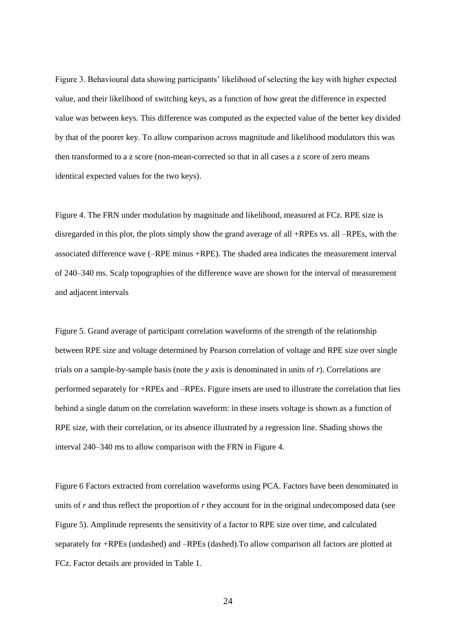Figure 3. Behavioural data showing participants' likelihood of selecting the key with higher expected value, and their likelihood of switching keys, as a function of how great the difference in expected value was between keys. This difference was computed as the expected value of the better key divided by that of the poorer key. To allow comparison across magnitude and likelihood modulators this was then transformed to a z score (non-mean-corrected so that in all cases a z score of zero means identical expected values for the two keys).

Figure 4. The FRN under modulation by magnitude and likelihood, measured at FCz. RPE size is disregarded in this plot, the plots simply show the grand average of all +RPEs vs. all –RPEs, with the associated difference wave (–RPE minus +RPE). The shaded area indicates the measurement interval of 240–340 ms. Scalp topographies of the difference wave are shown for the interval of measurement and adjacent intervals

Figure 5. Grand average of participant correlation waveforms of the strength of the relationship between RPE size and voltage determined by Pearson correlation of voltage and RPE size over single trials on a sample-by-sample basis (note the *y* axis is denominated in units of *r*). Correlations are performed separately for +RPEs and –RPEs. Figure insets are used to illustrate the correlation that lies behind a single datum on the correlation waveform: in these insets voltage is shown as a function of RPE size, with their correlation, or its absence illustrated by a regression line. Shading shows the interval 240–340 ms to allow comparison with the FRN in Figure 4.

Figure 6 Factors extracted from correlation waveforms using PCA. Factors have been denominated in units of *r* and thus reflect the proportion of *r* they account for in the original undecomposed data (see Figure 5). Amplitude represents the sensitivity of a factor to RPE size over time, and calculated separately for +RPEs (undashed) and –RPEs (dashed).To allow comparison all factors are plotted at FCz. Factor details are provided in Table 1.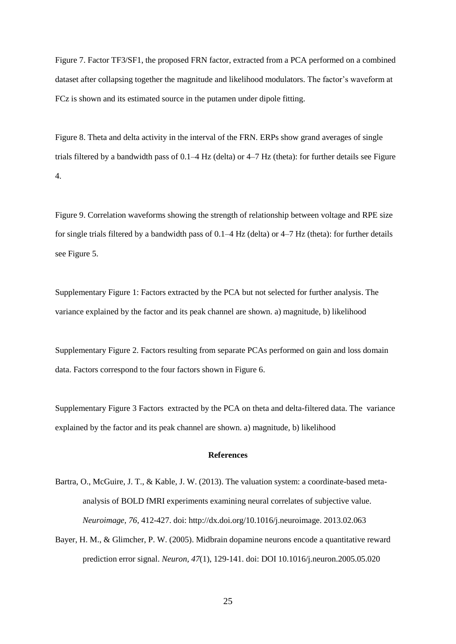Figure 7. Factor TF3/SF1, the proposed FRN factor, extracted from a PCA performed on a combined dataset after collapsing together the magnitude and likelihood modulators. The factor's waveform at FCz is shown and its estimated source in the putamen under dipole fitting.

Figure 8. Theta and delta activity in the interval of the FRN. ERPs show grand averages of single trials filtered by a bandwidth pass of 0.1–4 Hz (delta) or 4–7 Hz (theta): for further details see Figure 4.

Figure 9. Correlation waveforms showing the strength of relationship between voltage and RPE size for single trials filtered by a bandwidth pass of 0.1–4 Hz (delta) or 4–7 Hz (theta): for further details see Figure 5.

Supplementary Figure 1: Factors extracted by the PCA but not selected for further analysis. The variance explained by the factor and its peak channel are shown. a) magnitude, b) likelihood

Supplementary Figure 2. Factors resulting from separate PCAs performed on gain and loss domain data. Factors correspond to the four factors shown in Figure 6.

Supplementary Figure 3 Factors extracted by the PCA on theta and delta-filtered data. The variance explained by the factor and its peak channel are shown. a) magnitude, b) likelihood

### **References**

- Bartra, O., McGuire, J. T., & Kable, J. W. (2013). The valuation system: a coordinate-based metaanalysis of BOLD fMRI experiments examining neural correlates of subjective value. *Neuroimage, 76*, 412-427. doi: http://dx.doi.org/10.1016/j.neuroimage. 2013.02.063
- Bayer, H. M., & Glimcher, P. W. (2005). Midbrain dopamine neurons encode a quantitative reward prediction error signal. *Neuron, 47*(1), 129-141. doi: DOI 10.1016/j.neuron.2005.05.020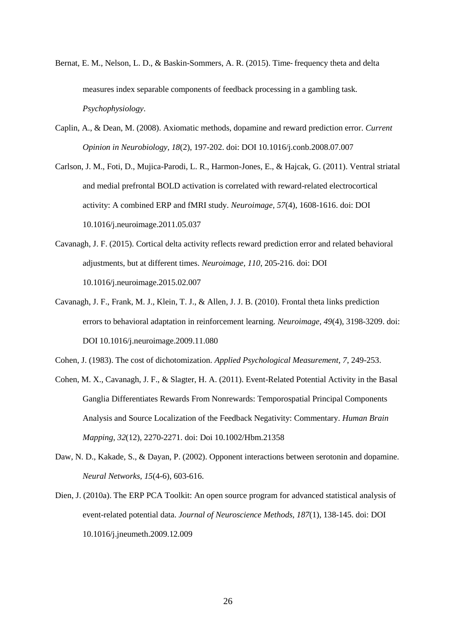- Bernat, E. M., Nelson, L. D., & Baskin-Sommers, A. R. (2015). Time‐frequency theta and delta measures index separable components of feedback processing in a gambling task. *Psychophysiology*.
- Caplin, A., & Dean, M. (2008). Axiomatic methods, dopamine and reward prediction error. *Current Opinion in Neurobiology, 18*(2), 197-202. doi: DOI 10.1016/j.conb.2008.07.007
- Carlson, J. M., Foti, D., Mujica-Parodi, L. R., Harmon-Jones, E., & Hajcak, G. (2011). Ventral striatal and medial prefrontal BOLD activation is correlated with reward-related electrocortical activity: A combined ERP and fMRI study. *Neuroimage, 57*(4), 1608-1616. doi: DOI 10.1016/j.neuroimage.2011.05.037
- Cavanagh, J. F. (2015). Cortical delta activity reflects reward prediction error and related behavioral adjustments, but at different times. *Neuroimage, 110*, 205-216. doi: DOI 10.1016/j.neuroimage.2015.02.007
- Cavanagh, J. F., Frank, M. J., Klein, T. J., & Allen, J. J. B. (2010). Frontal theta links prediction errors to behavioral adaptation in reinforcement learning. *Neuroimage, 49*(4), 3198-3209. doi: DOI 10.1016/j.neuroimage.2009.11.080
- Cohen, J. (1983). The cost of dichotomization. *Applied Psychological Measurement, 7*, 249-253.
- <span id="page-25-0"></span>Cohen, M. X., Cavanagh, J. F., & Slagter, H. A. (2011). Event-Related Potential Activity in the Basal Ganglia Differentiates Rewards From Nonrewards: Temporospatial Principal Components Analysis and Source Localization of the Feedback Negativity: Commentary. *Human Brain Mapping, 32*(12), 2270-2271. doi: Doi 10.1002/Hbm.21358
- Daw, N. D., Kakade, S., & Dayan, P. (2002). Opponent interactions between serotonin and dopamine. *Neural Networks, 15*(4-6), 603-616.
- Dien, J. (2010a). The ERP PCA Toolkit: An open source program for advanced statistical analysis of event-related potential data. *Journal of Neuroscience Methods, 187*(1), 138-145. doi: DOI 10.1016/j.jneumeth.2009.12.009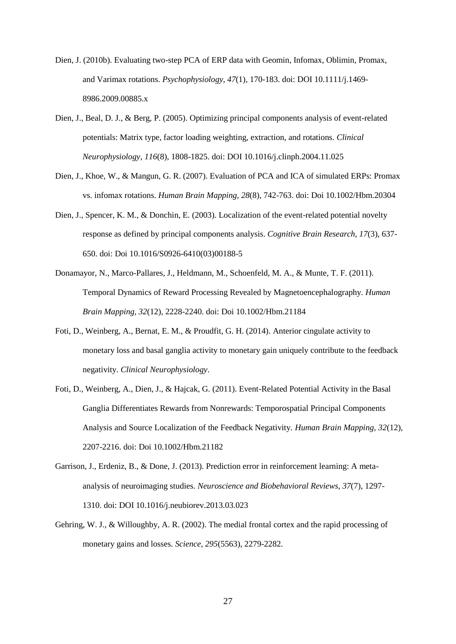- Dien, J. (2010b). Evaluating two-step PCA of ERP data with Geomin, Infomax, Oblimin, Promax, and Varimax rotations. *Psychophysiology, 47*(1), 170-183. doi: DOI 10.1111/j.1469- 8986.2009.00885.x
- Dien, J., Beal, D. J., & Berg, P. (2005). Optimizing principal components analysis of event-related potentials: Matrix type, factor loading weighting, extraction, and rotations. *Clinical Neurophysiology, 116*(8), 1808-1825. doi: DOI 10.1016/j.clinph.2004.11.025
- Dien, J., Khoe, W., & Mangun, G. R. (2007). Evaluation of PCA and ICA of simulated ERPs: Promax vs. infomax rotations. *Human Brain Mapping, 28*(8), 742-763. doi: Doi 10.1002/Hbm.20304
- Dien, J., Spencer, K. M., & Donchin, E. (2003). Localization of the event-related potential novelty response as defined by principal components analysis. *Cognitive Brain Research, 17*(3), 637- 650. doi: Doi 10.1016/S0926-6410(03)00188-5
- Donamayor, N., Marco-Pallares, J., Heldmann, M., Schoenfeld, M. A., & Munte, T. F. (2011). Temporal Dynamics of Reward Processing Revealed by Magnetoencephalography. *Human Brain Mapping, 32*(12), 2228-2240. doi: Doi 10.1002/Hbm.21184
- Foti, D., Weinberg, A., Bernat, E. M., & Proudfit, G. H. (2014). Anterior cingulate activity to monetary loss and basal ganglia activity to monetary gain uniquely contribute to the feedback negativity. *Clinical Neurophysiology*.
- Foti, D., Weinberg, A., Dien, J., & Hajcak, G. (2011). Event-Related Potential Activity in the Basal Ganglia Differentiates Rewards from Nonrewards: Temporospatial Principal Components Analysis and Source Localization of the Feedback Negativity. *Human Brain Mapping, 32*(12), 2207-2216. doi: Doi 10.1002/Hbm.21182
- Garrison, J., Erdeniz, B., & Done, J. (2013). Prediction error in reinforcement learning: A metaanalysis of neuroimaging studies. *Neuroscience and Biobehavioral Reviews, 37*(7), 1297- 1310. doi: DOI 10.1016/j.neubiorev.2013.03.023
- Gehring, W. J., & Willoughby, A. R. (2002). The medial frontal cortex and the rapid processing of monetary gains and losses. *Science, 295*(5563), 2279-2282.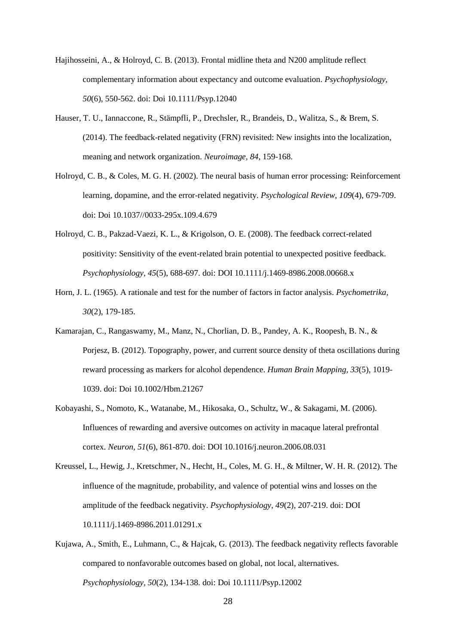- Hajihosseini, A., & Holroyd, C. B. (2013). Frontal midline theta and N200 amplitude reflect complementary information about expectancy and outcome evaluation. *Psychophysiology, 50*(6), 550-562. doi: Doi 10.1111/Psyp.12040
- Hauser, T. U., Iannaccone, R., Stämpfli, P., Drechsler, R., Brandeis, D., Walitza, S., & Brem, S. (2014). The feedback-related negativity (FRN) revisited: New insights into the localization, meaning and network organization. *Neuroimage, 84*, 159-168.
- Holroyd, C. B., & Coles, M. G. H. (2002). The neural basis of human error processing: Reinforcement learning, dopamine, and the error-related negativity. *Psychological Review, 109*(4), 679-709. doi: Doi 10.1037//0033-295x.109.4.679
- Holroyd, C. B., Pakzad-Vaezi, K. L., & Krigolson, O. E. (2008). The feedback correct-related positivity: Sensitivity of the event-related brain potential to unexpected positive feedback. *Psychophysiology, 45*(5), 688-697. doi: DOI 10.1111/j.1469-8986.2008.00668.x
- Horn, J. L. (1965). A rationale and test for the number of factors in factor analysis. *Psychometrika, 30*(2), 179-185.
- Kamarajan, C., Rangaswamy, M., Manz, N., Chorlian, D. B., Pandey, A. K., Roopesh, B. N., & Porjesz, B. (2012). Topography, power, and current source density of theta oscillations during reward processing as markers for alcohol dependence. *Human Brain Mapping, 33*(5), 1019- 1039. doi: Doi 10.1002/Hbm.21267
- Kobayashi, S., Nomoto, K., Watanabe, M., Hikosaka, O., Schultz, W., & Sakagami, M. (2006). Influences of rewarding and aversive outcomes on activity in macaque lateral prefrontal cortex. *Neuron, 51*(6), 861-870. doi: DOI 10.1016/j.neuron.2006.08.031
- Kreussel, L., Hewig, J., Kretschmer, N., Hecht, H., Coles, M. G. H., & Miltner, W. H. R. (2012). The influence of the magnitude, probability, and valence of potential wins and losses on the amplitude of the feedback negativity. *Psychophysiology, 49*(2), 207-219. doi: DOI 10.1111/j.1469-8986.2011.01291.x
- Kujawa, A., Smith, E., Luhmann, C., & Hajcak, G. (2013). The feedback negativity reflects favorable compared to nonfavorable outcomes based on global, not local, alternatives. *Psychophysiology, 50*(2), 134-138. doi: Doi 10.1111/Psyp.12002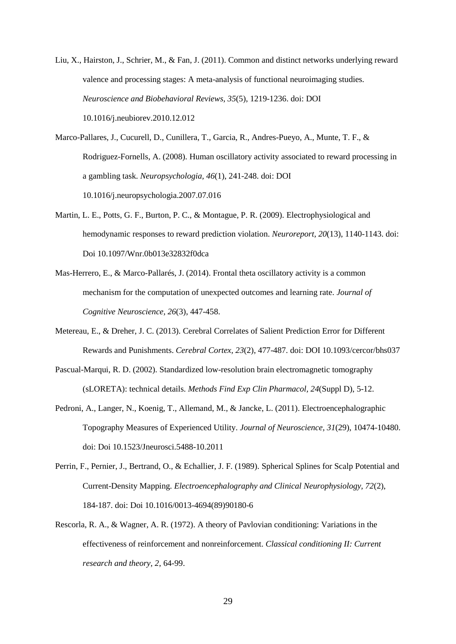- Liu, X., Hairston, J., Schrier, M., & Fan, J. (2011). Common and distinct networks underlying reward valence and processing stages: A meta-analysis of functional neuroimaging studies. *Neuroscience and Biobehavioral Reviews, 35*(5), 1219-1236. doi: DOI 10.1016/j.neubiorev.2010.12.012
- Marco-Pallares, J., Cucurell, D., Cunillera, T., Garcia, R., Andres-Pueyo, A., Munte, T. F., & Rodriguez-Fornells, A. (2008). Human oscillatory activity associated to reward processing in a gambling task. *Neuropsychologia, 46*(1), 241-248. doi: DOI 10.1016/j.neuropsychologia.2007.07.016
- Martin, L. E., Potts, G. F., Burton, P. C., & Montague, P. R. (2009). Electrophysiological and hemodynamic responses to reward prediction violation. *Neuroreport, 20*(13), 1140-1143. doi: Doi 10.1097/Wnr.0b013e32832f0dca
- Mas-Herrero, E., & Marco-Pallarés, J. (2014). Frontal theta oscillatory activity is a common mechanism for the computation of unexpected outcomes and learning rate. *Journal of Cognitive Neuroscience, 26*(3), 447-458.
- Metereau, E., & Dreher, J. C. (2013). Cerebral Correlates of Salient Prediction Error for Different Rewards and Punishments. *Cerebral Cortex, 23*(2), 477-487. doi: DOI 10.1093/cercor/bhs037
- Pascual-Marqui, R. D. (2002). Standardized low-resolution brain electromagnetic tomography (sLORETA): technical details. *Methods Find Exp Clin Pharmacol, 24*(Suppl D), 5-12.
- Pedroni, A., Langer, N., Koenig, T., Allemand, M., & Jancke, L. (2011). Electroencephalographic Topography Measures of Experienced Utility. *Journal of Neuroscience, 31*(29), 10474-10480. doi: Doi 10.1523/Jneurosci.5488-10.2011
- Perrin, F., Pernier, J., Bertrand, O., & Echallier, J. F. (1989). Spherical Splines for Scalp Potential and Current-Density Mapping. *Electroencephalography and Clinical Neurophysiology, 72*(2), 184-187. doi: Doi 10.1016/0013-4694(89)90180-6
- Rescorla, R. A., & Wagner, A. R. (1972). A theory of Pavlovian conditioning: Variations in the effectiveness of reinforcement and nonreinforcement. *Classical conditioning II: Current research and theory, 2*, 64-99.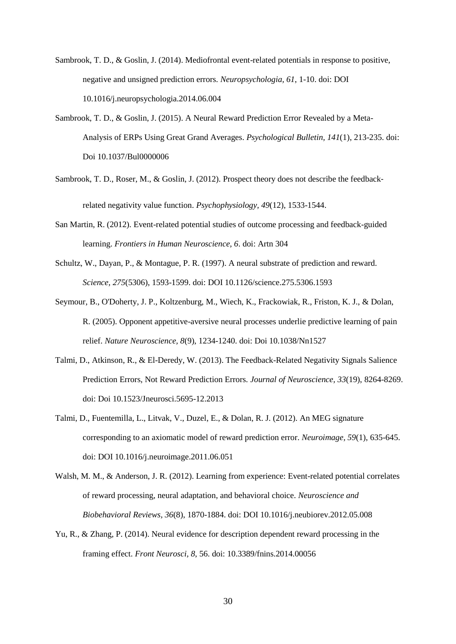- Sambrook, T. D., & Goslin, J. (2014). Mediofrontal event-related potentials in response to positive, negative and unsigned prediction errors. *Neuropsychologia, 61*, 1-10. doi: DOI 10.1016/j.neuropsychologia.2014.06.004
- Sambrook, T. D., & Goslin, J. (2015). A Neural Reward Prediction Error Revealed by a Meta-Analysis of ERPs Using Great Grand Averages. *Psychological Bulletin, 141*(1), 213-235. doi: Doi 10.1037/Bul0000006
- Sambrook, T. D., Roser, M., & Goslin, J. (2012). Prospect theory does not describe the feedback‐ related negativity value function. *Psychophysiology, 49*(12), 1533-1544.
- San Martin, R. (2012). Event-related potential studies of outcome processing and feedback-guided learning. *Frontiers in Human Neuroscience, 6*. doi: Artn 304
- Schultz, W., Dayan, P., & Montague, P. R. (1997). A neural substrate of prediction and reward. *Science, 275*(5306), 1593-1599. doi: DOI 10.1126/science.275.5306.1593
- Seymour, B., O'Doherty, J. P., Koltzenburg, M., Wiech, K., Frackowiak, R., Friston, K. J., & Dolan, R. (2005). Opponent appetitive-aversive neural processes underlie predictive learning of pain relief. *Nature Neuroscience, 8*(9), 1234-1240. doi: Doi 10.1038/Nn1527
- Talmi, D., Atkinson, R., & El-Deredy, W. (2013). The Feedback-Related Negativity Signals Salience Prediction Errors, Not Reward Prediction Errors. *Journal of Neuroscience, 33*(19), 8264-8269. doi: Doi 10.1523/Jneurosci.5695-12.2013
- Talmi, D., Fuentemilla, L., Litvak, V., Duzel, E., & Dolan, R. J. (2012). An MEG signature corresponding to an axiomatic model of reward prediction error. *Neuroimage, 59*(1), 635-645. doi: DOI 10.1016/j.neuroimage.2011.06.051
- Walsh, M. M., & Anderson, J. R. (2012). Learning from experience: Event-related potential correlates of reward processing, neural adaptation, and behavioral choice. *Neuroscience and Biobehavioral Reviews, 36*(8), 1870-1884. doi: DOI 10.1016/j.neubiorev.2012.05.008
- Yu, R., & Zhang, P. (2014). Neural evidence for description dependent reward processing in the framing effect. *Front Neurosci, 8*, 56. doi: 10.3389/fnins.2014.00056